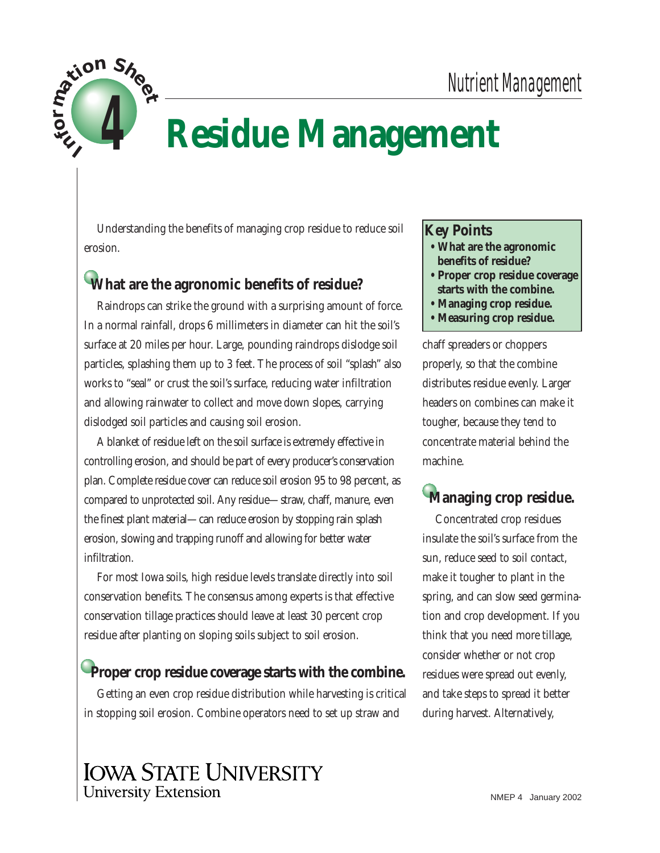

# **Residue Management**

Understanding the benefits of managing crop residue to reduce soil erosion.

## **What are the agronomic benefits of residue?**

Raindrops can strike the ground with a surprising amount of force. In a normal rainfall, drops 6 millimeters in diameter can hit the soil's surface at 20 miles per hour. Large, pounding raindrops dislodge soil particles, splashing them up to 3 feet. The process of soil "splash" also works to "seal" or crust the soil's surface, reducing water infiltration and allowing rainwater to collect and move down slopes, carrying dislodged soil particles and causing soil erosion.

A blanket of residue left on the soil surface is extremely effective in controlling erosion, and should be part of every producer's conservation plan. Complete residue cover can reduce soil erosion 95 to 98 percent, as compared to unprotected soil. Any residue—straw, chaff, manure, even the finest plant material—can reduce erosion by stopping rain splash erosion, slowing and trapping runoff and allowing for better water infiltration.

For most Iowa soils, high residue levels translate directly into soil conservation benefits. The consensus among experts is that effective conservation tillage practices should leave at least 30 percent crop residue after planting on sloping soils subject to soil erosion.

### **Proper crop residue coverage starts with the combine.**

Getting an even crop residue distribution while harvesting is critical in stopping soil erosion. Combine operators need to set up straw and

**Key Points**

- **What are the agronomic benefits of residue?**
- **Proper crop residue coverage starts with the combine.**
- **Managing crop residue.**
- **Measuring crop residue.**

chaff spreaders or choppers properly, so that the combine distributes residue evenly. Larger headers on combines can make it tougher, because they tend to concentrate material behind the machine.

# **Managing crop residue.**

Concentrated crop residues insulate the soil's surface from the sun, reduce seed to soil contact, make it tougher to plant in the spring, and can slow seed germination and crop development. If you think that you need more tillage, consider whether or not crop residues were spread out evenly, and take steps to spread it better during harvest. Alternatively,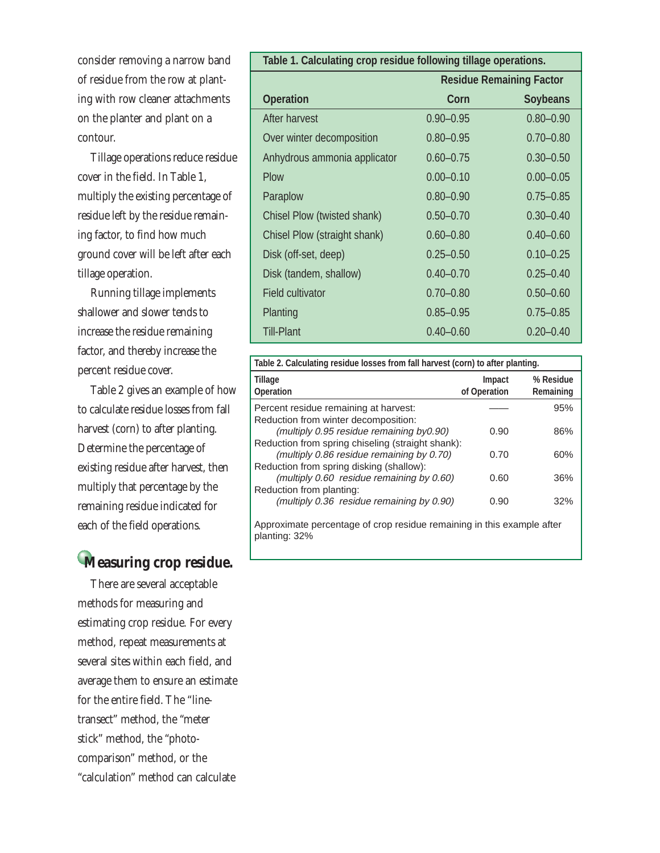consider removing a narrow band of residue from the row at planting with row cleaner attachments on the planter and plant on a contour.

Tillage operations reduce residue cover in the field. In Table 1, multiply the existing percentage of residue left by the residue remaining factor, to find how much ground cover will be left after each tillage operation.

Running tillage implements shallower and slower tends to increase the residue remaining factor, and thereby increase the percent residue cover.

Table 2 gives an example of how to calculate residue losses from fall harvest (corn) to after planting. Determine the percentage of existing residue after harvest, then multiply that percentage by the remaining residue indicated for each of the field operations.

## **Measuring crop residue.**

planting: 32%

There are several acceptable methods for measuring and estimating crop residue. For every method, repeat measurements at several sites within each field, and average them to ensure an estimate for the entire field. The "linetransect" method, the "meter stick" method, the "photocomparison" method, or the "calculation" method can calculate

| Table 1. Calculating crop residue following tillage operations. |                                 |                 |  |
|-----------------------------------------------------------------|---------------------------------|-----------------|--|
|                                                                 | <b>Residue Remaining Factor</b> |                 |  |
| <b>Operation</b>                                                | Corn                            | <b>Soybeans</b> |  |
| After harvest                                                   | $0.90 - 0.95$                   | $0.80 - 0.90$   |  |
| Over winter decomposition                                       | $0.80 - 0.95$                   | $0.70 - 0.80$   |  |
| Anhydrous ammonia applicator                                    | $0.60 - 0.75$                   | $0.30 - 0.50$   |  |
| Plow                                                            | $0.00 - 0.10$                   | $0.00 - 0.05$   |  |
| Paraplow                                                        | $0.80 - 0.90$                   | $0.75 - 0.85$   |  |
| Chisel Plow (twisted shank)                                     | $0.50 - 0.70$                   | $0.30 - 0.40$   |  |
| Chisel Plow (straight shank)                                    | $0.60 - 0.80$                   | $0.40 - 0.60$   |  |
| Disk (off-set, deep)                                            | $0.25 - 0.50$                   | $0.10 - 0.25$   |  |
| Disk (tandem, shallow)                                          | $0.40 - 0.70$                   | $0.25 - 0.40$   |  |
| <b>Field cultivator</b>                                         | $0.70 - 0.80$                   | $0.50 - 0.60$   |  |
| Planting                                                        | $0.85 - 0.95$                   | $0.75 - 0.85$   |  |
| <b>Till-Plant</b>                                               | $0.40 - 0.60$                   | $0.20 - 0.40$   |  |

| Table 2. Calculating residue losses from fall harvest (corn) to after planting.               |                        |                        |  |
|-----------------------------------------------------------------------------------------------|------------------------|------------------------|--|
| Tillage<br><b>Operation</b>                                                                   | Impact<br>of Operation | % Residue<br>Remaining |  |
| Percent residue remaining at harvest:<br>Reduction from winter decomposition:                 |                        | 95%                    |  |
| (multiply 0.95 residue remaining by0.90)<br>Reduction from spring chiseling (straight shank): | 0.90                   | 86%                    |  |
| (multiply 0.86 residue remaining by 0.70)<br>Reduction from spring disking (shallow):         | 0.70                   | 60%                    |  |
| (multiply 0.60 residue remaining by 0.60)<br>Reduction from planting:                         | 0.60                   | 36%                    |  |
| (multiply 0.36 residue remaining by 0.90)                                                     | 0.90                   | 32%                    |  |
| Approximate percentage of crop residue remaining in this example after                        |                        |                        |  |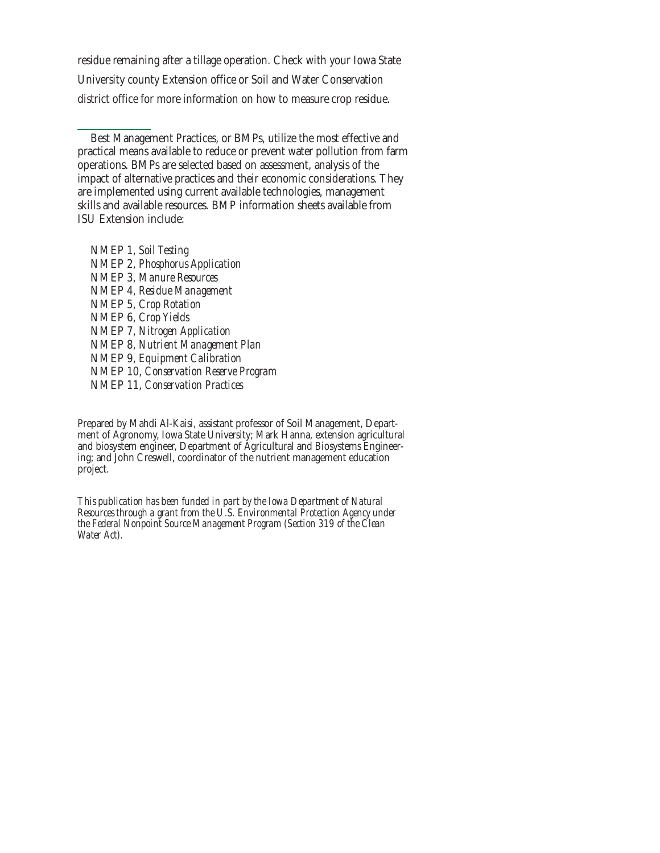residue remaining after a tillage operation. Check with your Iowa State University county Extension office or Soil and Water Conservation district office for more information on how to measure crop residue.

Best Management Practices, or BMPs, utilize the most effective and practical means available to reduce or prevent water pollution from farm operations. BMPs are selected based on assessment, analysis of the impact of alternative practices and their economic considerations. They are implemented using current available technologies, management skills and available resources. BMP information sheets available from ISU Extension include:

NMEP 1, *Soil Testing* NMEP 2, *Phosphorus Application* NMEP 3, *Manure Resources* NMEP 4, *Residue Management* NMEP 5, *Crop Rotation* NMEP 6, *Crop Yields* NMEP 7, *Nitrogen Application* NMEP 8, *Nutrient Management Plan* NMEP 9, *Equipment Calibration* NMEP 10, *Conservation Reserve Program* NMEP 11, *Conservation Practices*

Prepared by Mahdi Al-Kaisi, assistant professor of Soil Management, Department of Agronomy, Iowa State University; Mark Hanna, extension agricultural and biosystem engineer, Department of Agricultural and Biosystems Engineering; and John Creswell, coordinator of the nutrient management education project.

*This publication has been funded in part by the Iowa Department of Natural Resources through a grant from the U.S. Environmental Protection Agency under the Federal Nonpoint Source Management Program (Section 319 of the Clean Water Act).*